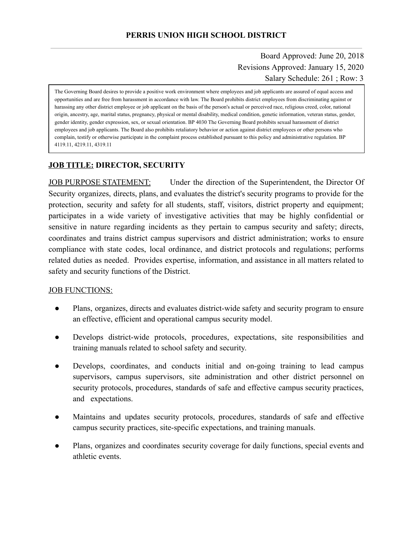Board Approved: June 20, 2018 Revisions Approved: January 15, 2020 Salary Schedule: 261 ; Row: 3

The Governing Board desires to provide a positive work environment where employees and job applicants are assured of equal access and opportunities and are free from harassment in accordance with law. The Board prohibits district employees from discriminating against or harassing any other district employee or job applicant on the basis of the person's actual or perceived race, religious creed, color, national origin, ancestry, age, marital status, pregnancy, physical or mental disability, medical condition, genetic information, veteran status, gender, gender identity, gender expression, sex, or sexual orientation. BP 4030 The Governing Board prohibits sexual harassment of district employees and job applicants. The Board also prohibits retaliatory behavior or action against district employees or other persons who complain, testify or otherwise participate in the complaint process established pursuant to this policy and administrative regulation. BP 4119.11, 4219.11, 4319.11

## **JOB TITLE: DIRECTOR, SECURITY**

JOB PURPOSE STATEMENT: Under the direction of the Superintendent, the Director Of Security organizes, directs, plans, and evaluates the district's security programs to provide for the protection, security and safety for all students, staff, visitors, district property and equipment; participates in a wide variety of investigative activities that may be highly confidential or sensitive in nature regarding incidents as they pertain to campus security and safety; directs, coordinates and trains district campus supervisors and district administration; works to ensure compliance with state codes, local ordinance, and district protocols and regulations; performs related duties as needed. Provides expertise, information, and assistance in all matters related to safety and security functions of the District.

## JOB FUNCTIONS:

- Plans, organizes, directs and evaluates district-wide safety and security program to ensure an effective, efficient and operational campus security model.
- Develops district-wide protocols, procedures, expectations, site responsibilities and training manuals related to school safety and security.
- Develops, coordinates, and conducts initial and on-going training to lead campus supervisors, campus supervisors, site administration and other district personnel on security protocols, procedures, standards of safe and effective campus security practices, and expectations.
- Maintains and updates security protocols, procedures, standards of safe and effective campus security practices, site-specific expectations, and training manuals.
- Plans, organizes and coordinates security coverage for daily functions, special events and athletic events.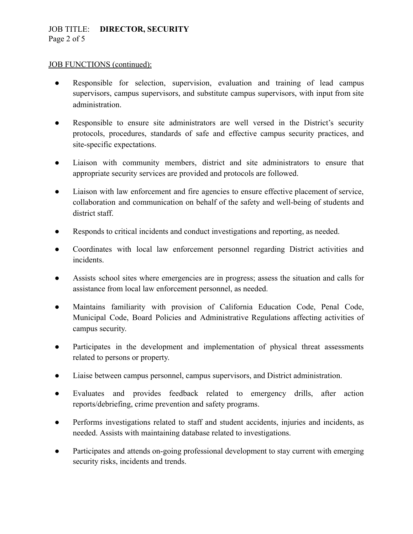## JOB TITLE: **DIRECTOR, SECURITY**  Page 2 of 5

#### JOB FUNCTIONS (continued):

- Responsible for selection, supervision, evaluation and training of lead campus supervisors, campus supervisors, and substitute campus supervisors, with input from site administration.
- Responsible to ensure site administrators are well versed in the District's security protocols, procedures, standards of safe and effective campus security practices, and site-specific expectations.
- Liaison with community members, district and site administrators to ensure that appropriate security services are provided and protocols are followed.
- Liaison with law enforcement and fire agencies to ensure effective placement of service, collaboration and communication on behalf of the safety and well-being of students and district staff.
- Responds to critical incidents and conduct investigations and reporting, as needed.
- Coordinates with local law enforcement personnel regarding District activities and incidents.
- Assists school sites where emergencies are in progress; assess the situation and calls for assistance from local law enforcement personnel, as needed.
- Maintains familiarity with provision of California Education Code, Penal Code, Municipal Code, Board Policies and Administrative Regulations affecting activities of campus security.
- Participates in the development and implementation of physical threat assessments related to persons or property.
- Liaise between campus personnel, campus supervisors, and District administration.
- Evaluates and provides feedback related to emergency drills, after action reports/debriefing, crime prevention and safety programs.
- Performs investigations related to staff and student accidents, injuries and incidents, as needed. Assists with maintaining database related to investigations.
- Participates and attends on-going professional development to stay current with emerging security risks, incidents and trends.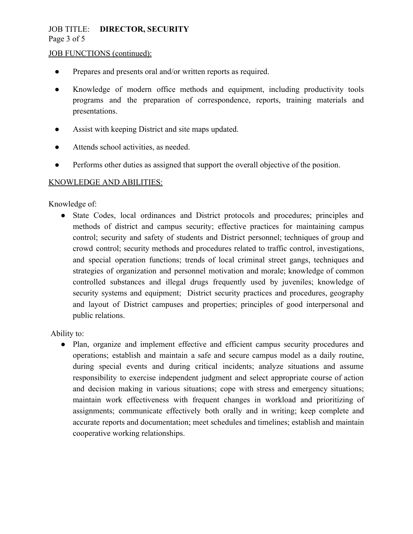## JOB TITLE: **DIRECTOR, SECURITY**  Page 3 of 5

#### JOB FUNCTIONS (continued):

- Prepares and presents oral and/or written reports as required.
- Knowledge of modern office methods and equipment, including productivity tools programs and the preparation of correspondence, reports, training materials and presentations.
- Assist with keeping District and site maps updated.
- Attends school activities, as needed.
- Performs other duties as assigned that support the overall objective of the position.

#### KNOWLEDGE AND ABILITIES:

Knowledge of:

● State Codes, local ordinances and District protocols and procedures; principles and methods of district and campus security; effective practices for maintaining campus control; security and safety of students and District personnel; techniques of group and crowd control; security methods and procedures related to traffic control, investigations, and special operation functions; trends of local criminal street gangs, techniques and strategies of organization and personnel motivation and morale; knowledge of common controlled substances and illegal drugs frequently used by juveniles; knowledge of security systems and equipment; District security practices and procedures, geography and layout of District campuses and properties; principles of good interpersonal and public relations.

Ability to:

● Plan, organize and implement effective and efficient campus security procedures and operations; establish and maintain a safe and secure campus model as a daily routine, during special events and during critical incidents; analyze situations and assume responsibility to exercise independent judgment and select appropriate course of action and decision making in various situations; cope with stress and emergency situations; maintain work effectiveness with frequent changes in workload and prioritizing of assignments; communicate effectively both orally and in writing; keep complete and accurate reports and documentation; meet schedules and timelines; establish and maintain cooperative working relationships.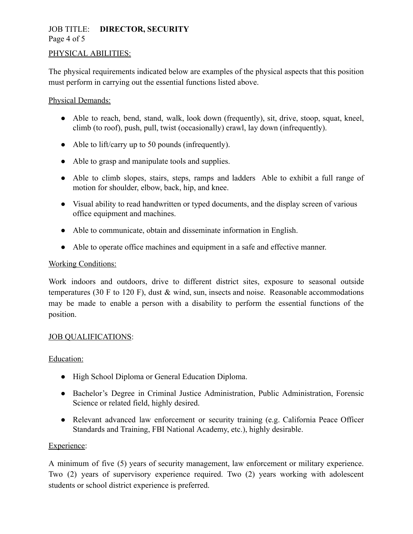## JOB TITLE: **DIRECTOR, SECURITY**  Page 4 of 5

#### PHYSICAL ABILITIES:

The physical requirements indicated below are examples of the physical aspects that this position must perform in carrying out the essential functions listed above.

#### Physical Demands:

- Able to reach, bend, stand, walk, look down (frequently), sit, drive, stoop, squat, kneel, climb (to roof), push, pull, twist (occasionally) crawl, lay down (infrequently).
- Able to lift/carry up to 50 pounds (infrequently).
- Able to grasp and manipulate tools and supplies.
- Able to climb slopes, stairs, steps, ramps and ladders Able to exhibit a full range of motion for shoulder, elbow, back, hip, and knee.
- Visual ability to read handwritten or typed documents, and the display screen of various office equipment and machines.
- Able to communicate, obtain and disseminate information in English.
- Able to operate office machines and equipment in a safe and effective manner.

#### Working Conditions:

Work indoors and outdoors, drive to different district sites, exposure to seasonal outside temperatures (30 F to 120 F), dust  $\&$  wind, sun, insects and noise. Reasonable accommodations may be made to enable a person with a disability to perform the essential functions of the position.

## **JOB QUALIFICATIONS:**

## Education:

- High School Diploma or General Education Diploma.
- Bachelor's Degree in Criminal Justice Administration, Public Administration, Forensic Science or related field, highly desired.
- Relevant advanced law enforcement or security training (e.g. California Peace Officer Standards and Training, FBI National Academy, etc.), highly desirable.

#### Experience:

A minimum of five (5) years of security management, law enforcement or military experience. Two (2) years of supervisory experience required. Two (2) years working with adolescent students or school district experience is preferred.